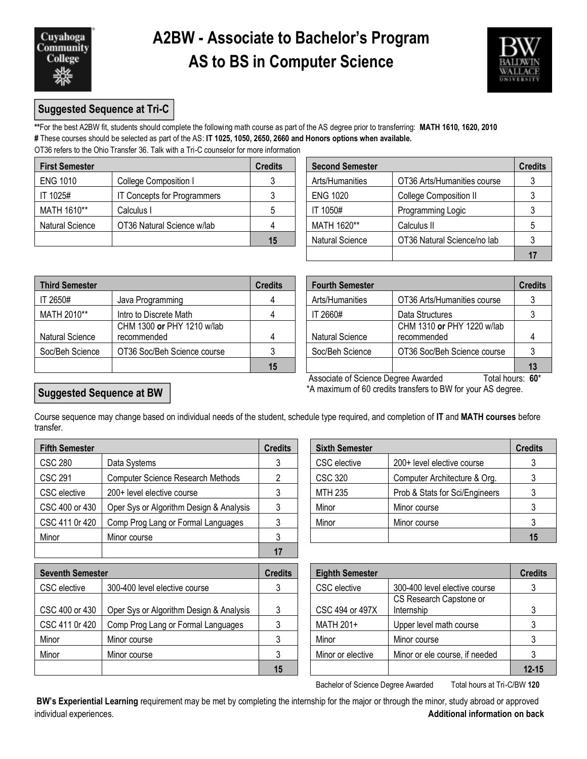

# **A2BW - Associate to Bachelor's Program AS to BS in Computer Science**



## **Suggested Sequence at Tri-C**

**\*\***For the best A2BW fit, students should complete the following math course as part of the AS degree prior to transferring: **MATH 1610, 1620, 2010 #** These courses should be selected as part of the AS: **IT 1025, 1050, 2650, 2660 and Honors options when available.** OT36 refers to the Ohio Transfer 36. Talk with a Tri-C counselor for more information

| <b>First Semester</b> |                                    | <b>Credits</b> | <b>Second Semester</b> |                               |  |
|-----------------------|------------------------------------|----------------|------------------------|-------------------------------|--|
| <b>ENG 1010</b>       | College Composition I              |                | Arts/Humanities        | OT36 Arts/Humanities course   |  |
| IT 1025#              | <b>IT Concepts for Programmers</b> |                | <b>ENG 1020</b>        | <b>College Composition II</b> |  |
| MATH 1610**           | Calculus I                         |                | IT 1050#               | Programming Logic             |  |
| Natural Science       | OT36 Natural Science w/lab         |                | MATH 1620**            | Calculus II                   |  |
|                       |                                    | 15             | <b>Natural Science</b> | OT36 Natural Science/no lab   |  |

| dits           | <b>Second Semester</b> |                             |   |  |  |
|----------------|------------------------|-----------------------------|---|--|--|
| $\mathbf{3}$   | Arts/Humanities        | OT36 Arts/Humanities course |   |  |  |
| 3              | <b>ENG 1020</b>        | College Composition II      |   |  |  |
| 5              | IT 1050#               | Programming Logic           |   |  |  |
| $\overline{4}$ | MATH 1620**            | Calculus II                 | 5 |  |  |
| 15             | <b>Natural Science</b> | OT36 Natural Science/no lab |   |  |  |
|                |                        |                             |   |  |  |

| <b>Third Semester</b> |                                           | <b>Credits</b> | <b>Fourth Semester</b> |                                           |    |
|-----------------------|-------------------------------------------|----------------|------------------------|-------------------------------------------|----|
| IT 2650#              | Java Programming                          |                | Arts/Humanities        | OT36 Arts/Humanities course               |    |
| MATH 2010**           | Intro to Discrete Math                    | 4              | IT 2660#               | Data Structures                           |    |
| Natural Science       | CHM 1300 or PHY 1210 w/lab<br>recommended | 4              | <b>Natural Science</b> | CHM 1310 or PHY 1220 w/lab<br>recommended |    |
| Soc/Beh Science       | OT36 Soc/Beh Science course               |                | Soc/Beh Science        | OT36 Soc/Beh Science course               |    |
|                       |                                           | 15             |                        |                                           | 13 |

| dits           | <b>Fourth Semester</b> |                                                                | <b>Credits</b> |  |  |
|----------------|------------------------|----------------------------------------------------------------|----------------|--|--|
| $\overline{4}$ | Arts/Humanities        | OT36 Arts/Humanities course                                    |                |  |  |
| $\overline{4}$ | IT 2660#               | Data Structures                                                |                |  |  |
| $\overline{4}$ | <b>Natural Science</b> | CHM 1310 or PHY 1220 w/lab<br>recommended                      |                |  |  |
| 3              | Soc/Beh Science        | OT36 Soc/Beh Science course                                    |                |  |  |
| 15             |                        |                                                                | 13             |  |  |
|                |                        | Accoriate of Science Degree Awarded<br>Total houre: <b>AN*</b> |                |  |  |

 Associate of Science Degree Awarded Total hours: **60**\* \*A maximum of 60 credits transfers to BW for your AS degree.

#### **Suggested Sequence at BW**

Course sequence may change based on individual needs of the student, schedule type required, and completion of **IT** and **MATH courses** before transfer.

| <b>Fifth Semester</b> |                                          | <b>Credits</b> | <b>Sixth Semester</b> |                                | <b>Credits</b> |  |
|-----------------------|------------------------------------------|----------------|-----------------------|--------------------------------|----------------|--|
| <b>CSC 280</b>        | Data Systems                             |                | CSC elective          | 200+ level elective course     |                |  |
| <b>CSC 291</b>        | <b>Computer Science Research Methods</b> |                | CSC 320               | Computer Architecture & Org.   |                |  |
| CSC elective          | 200+ level elective course               |                | MTH 235               | Prob & Stats for Sci/Engineers |                |  |
| CSC 400 or 430        | Oper Sys or Algorithm Design & Analysis  | 3              | Minor                 | Minor course                   |                |  |
| CSC 411 0r 420        | Comp Prog Lang or Formal Languages       |                | Minor                 | Minor course                   |                |  |
| Minor                 | Minor course                             |                |                       |                                | 15             |  |
|                       |                                          | 17             |                       |                                |                |  |

| <b>Sixth Semester</b>                             |                              | <b>Credits</b> |
|---------------------------------------------------|------------------------------|----------------|
| <b>CSC</b> elective<br>200+ level elective course |                              |                |
| <b>CSC 320</b>                                    | Computer Architecture & Org. |                |
| <b>MTH 235</b><br>Prob & Stats for Sci/Engineers  |                              |                |
| Minor                                             | Minor course                 |                |
| Minor                                             | Minor course                 |                |
|                                                   |                              | 15             |

| <b>Seventh Semester</b> |                                         | <b>Credits</b> | <b>Eighth Semester</b> |                                       | <b>Credits</b> |
|-------------------------|-----------------------------------------|----------------|------------------------|---------------------------------------|----------------|
| CSC elective            | 300-400 level elective course           |                | CSC elective           | 300-400 level elective course         |                |
| CSC 400 or 430          | Oper Sys or Algorithm Design & Analysis |                | CSC 494 or 497X        | CS Research Capstone or<br>Internship |                |
| CSC 411 0r 420          | Comp Prog Lang or Formal Languages      |                | MATH 201+              | Upper level math course               |                |
| Minor                   | Minor course                            |                | Minor                  | Minor course                          |                |
| Minor                   | Minor course                            |                | Minor or elective      | Minor or ele course, if needed        |                |
|                         |                                         | 15             |                        |                                       | $12 - 15$      |

Bachelor of Science Degree Awarded Total hours at Tri-C/BW **120**

**BW's Experiential Learning** requirement may be met by completing the internship for the major or through the minor, study abroad or approved individual experiences. **Additional information on back**